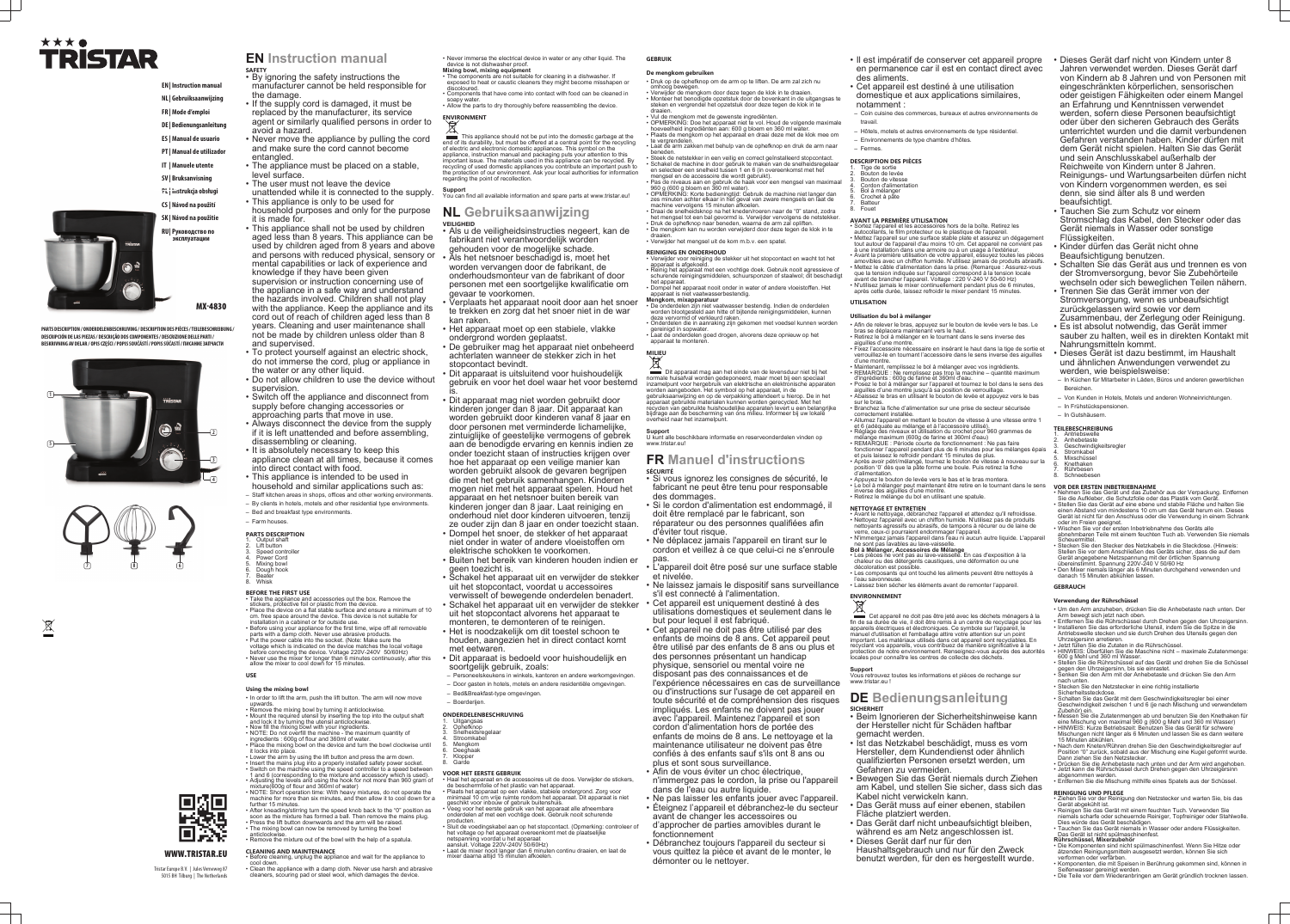# ★★★● **TRISTAR**

**EN | Instruction manual**

- **NL | Gebruiksaanwijzing FR | Mode d'emploi**
- **DE | Bedienungsanleitung**
- 
- **ES | Manual de usuario**
- **PT | Manual de utilizador**
- **IT | Manuele utente**
- **SV | Bruksanvisning**
- **PL | Instrukcja obsługi Ins**
- **CS | Návod na použití Náv**
- **SK | Návod na použitie Náv**
- **RU | Руководство по Рук эксплуатации эк**

MX-4830

- **EN Instruction manual SAFETY** • By ignoring the safety instructions the
- manufacturer cannot be held responsible for the damage.
- If the supply cord is damaged, it must be replaced by the manufacturer, its service agent or similarly qualified persons in order to avoid a hazard.
- Never move the appliance by pulling the cord and make sure the cord cannot become entangled.
- The appliance must be placed on a stable, level surface.
- The user must not leave the device
- unattended while it is connected to the supply. • This appliance is only to be used for
- household purposes and only for the purpose it is made for.
- This appliance shall not be used by children aged less than 8 years. This appliance can be used by children aged from 8 years and above and persons with reduced physical, sensory or mental capabilities or lack of experience and knowledge if they have been given supervision or instruction concerning use of the appliance in a safe way and understand the hazards involved. Children shall not play with the appliance. Keep the appliance and its cord out of reach of children aged less than 8 years. Cleaning and user maintenance shall not be made by children unless older than 8 and supervised.
- To protect yourself against an electric shock, do not immerse the cord, plug or appliance in the water or any other liquid.
- Do not allow children to use the device without supervision.
- Switch off the appliance and disconnect from supply before changing accessories or approaching parts that move in use.
- Always disconnect the device from the supply if it is left unattended and before assembling, disassembling or cleaning.
- It is absolutely necessary to keep this appliance clean at all times, because it comes into direct contact with food.
- This appliance is intended to be used in
- household and similar applications such as: – Staff kitchen areas in shops, offices and other working environments.
- By clients in hotels, motels and other residential type environments.
- Bed and breakfast type environments. – Farm houses.
- 
- **PARTS DESCRIPTION** Output shaft
- Lift button
- Speed controlle Power Cord
- 5. Mixing bowl
- 6. Dough hook **Beater**
- Whisk

**PARTS DESCRIPTION / ONDERDELENBESCHRIJVING / DESCRIPTION DES PIÈCES / TEILEBESCHREIBUNG / DESCRIPCIÓN DE LAS PIEZAS / DESCRIÇÃO DOS COMPONENTES / DESCRIZIONE DELLE PARTI / BESKRIVNING AV DELAR / OPIS CZĘŚCI / POPIS SOUČÁSTÍ / POPIS SÚČASTÍ / ПИСАНИЕ ЗАПЧАСТИ**



 $\boxtimes$ 



WWW.TRISTAR.EU

Tristar Europe B.V. | Jules Verneweg 87 5015 BH Tilburg | The Netherlands

- **Using the mixing bowl** • In order to lift the arm, push the lift button. The arm will now move
- upwards.
- Remove the mixing bowl by turning it anticlockwise. • Mount the required utensil by inserting the top into the output shaft and lock it by turning the utensil anticlockwise.
- Now fill the mixing bowl with your ingredients. • NOTE: Do not overfill the machine - the maximum quantity of
- ingredients : 600g of flour and 360ml of water. Place the mixing bowl on the device and turn the bowl clockwise until it locks into place.
- Lower the arm by using the lift button and press the arm down. • Insert the mains plug into a properly installed safety power socket.
- Switch on the machine using the speed controller to a speed between 1 and 6 (corresponding to the mixture and accessory which is used). • Adjusting the levels and using the hook for not more than 960 gram of
- mixture(600g of flour and 360ml of water) • NOTE: Short operation time: With heavy mixtures, do not operate the machine for more than six minutes, and then allow it to cool down for a further 15 minutes.
- After kneading/stirring turn the speed knob back to the "0" position as soon as the mixture has formed a ball. Then remove the mains plug.
- Press the lift button downwards and the arm will be raised. • The mixing bowl can now be removed by turning the bowl
- anticlockwise. **Remove the mixture out of the bowl with the help of a spatula.**

#### **BEFORE THE FIRST USE**

- Take the appliance and accessories out the box. Remove the stickers, protective foil or plastic from the device.
- Place the device on a flat stable surface and ensure a minimum of 10 cm. free space around the device. This device is not suitable for installation in a cabinet or for outside use.
- Before using your appliance for the first time, wipe off all removable parts with a damp cloth. Never use abrasive products. • Put the power cable into the socket. (Note: Make sure the
- voltage which is indicated on the device matches the local voltage before connecting the device. Voltage 220V-240V 50/60Hz)
- Never use the mixer for longer than 6 minutes continuously, after this allow the mixer to cool down for 15 minutes.

# **USE**

- Ophefknop
- Snelheidsregelaar Stroomkabe
- 5. Mengkom **Deeghaak**
- Klopper
- Garde
- **VOOR HET EERSTE GEBRUIK**

### **CLEANING AND MAINTENANCE**

- Before cleaning, unplug the appliance and wait for the appliance to cool down.
- Clean the appliance with a damp cloth. Never use harsh and abrasive cleaners, scouring pad or steel wool, which damages the device.

• Never immerse the electrical device in water or any other liquid. The device is not dishwasher proof.

- **Mixing bowl, mixing equipment** • The components are not suitable for cleaning in a dishwasher. If exposed to heat or caustic cleaners they might become misshapen or
- discoloured • Components that have come into contact with food can be cleaned in
- soapy water • Allow the parts to dry thoroughly before reassembling the device.

# **ENVIRONMENT**

#### This appliance should not be put into the domestic garbage at the end of its durability, but must be offered at a central point for the recycling of electric and electronic domestic appliances. This symbol on the appliance, instruction manual and packaging puts your attention to this important issue. The materials used in this appliance can be recycled. By recycling of used domestic appliances you contribute an important push to the protection of our environment. Ask your local authorities for information regarding the point of recollection.

**Support** You can find all available information and spare parts at www.tristar.eu!

## **NL Gebruiksaanwijzing VEILIGHEID**

#### **DESCRIPTION DES PIÈCES** Tige de sortie

- Bouton de levée Bouton de vitesse
- Cordon d'alimentation
- Bol à mélanger Crochet à pâte
- **Batteur Fouet**
- 

#### **AVANT LA PREMIÈRE UTILISATION** Sortez l'appareil et les accessoires hors de la boîte. Retirez les

- Als u de veiligheidsinstructies negeert, kan de fabrikant niet verantwoordelijk worden
- gehouden voor de mogelijke schade. • Als het netsnoer beschadigd is, moet het worden vervangen door de fabrikant, de onderhoudsmonteur van de fabrikant of door personen met een soortgelijke kwalificatie om gevaar te voorkomen.
- Verplaats het apparaat nooit door aan het snoer te trekken en zorg dat het snoer niet in de war kan raken.
- Het apparaat moet op een stabiele, vlakke ondergrond worden geplaatst.
- De gebruiker mag het apparaat niet onbeheerd achterlaten wanneer de stekker zich in het stopcontact bevindt.
- Dit apparaat is uitsluitend voor huishoudelijk gebruik en voor het doel waar het voor bestemd is.
- Dit apparaat mag niet worden gebruikt door kinderen jonger dan 8 jaar. Dit apparaat kan worden gebruikt door kinderen vanaf 8 jaar en door personen met verminderde lichamelijke, zintuiglijke of geestelijke vermogens of gebrek aan de benodigde ervaring en kennis indien ze onder toezicht staan of instructies krijgen over hoe het apparaat op een veilige manier kan worden gebruikt alsook de gevaren begrijpen die met het gebruik samenhangen. Kinderen mogen niet met het apparaat spelen. Houd het apparaat en het netsnoer buiten bereik van kinderen jonger dan 8 jaar. Laat reiniging en onderhoud niet door kinderen uitvoeren, tenzij ze ouder zijn dan 8 jaar en onder toezicht staan.
- Dompel het snoer, de stekker of het apparaat niet onder in water of andere vloeistoffen om elektrische schokken te voorkomen.
- Buiten het bereik van kinderen houden indien er geen toezicht is.
- Schakel het apparaat uit en verwijder de stekker uit het stopcontact, voordat u accessoires verwisselt of bewegende onderdelen benadert.
- Schakel het apparaat uit en verwijder de stekker uit het stopcontact alvorens het apparaat te
- monteren, te demonteren of te reinigen. • Het is noodzakelijk om dit toestel schoon te
- houden, aangezien het in direct contact komt met eetwaren. • Dit apparaat is bedoeld voor huishoudelijk en
- soortgelijk gebruik, zoals: – Personeelskeukens in winkels, kantoren en andere werkomgevingen.
- Door gasten in hotels, motels en andere residentiële omgevingen.
- Bed&Breakfast-type omgevingen.
- Boerderijen.
- Afin de relever le bras, appuyez sur le bouton de levée vers le bas. Le bras se déplacera maintenant vers le haut
- Retirez le bol à mélanger en le tournant dans le sens inverse des aiguilles d'une montre.
- Fixez l'accessoire nécessaire en insérant le haut dans la tige de sortie et verrouillez-le en tournant l'accessoire dans le sens inverse des aiguilles d'une montre.
- Maintenant, remplissez le bol à mélanger avec vos ingrédients. • REMARQUE : Ne remplissez pas trop la machine – quantité maximum d'ingrédients : 600g de farine et 360ml d'eau.
- Posez le bol à mélanger sur l'appareil et tournez le bol dans le sens des aiguilles d'une montre jusqu'à sa position de verrouillage.
- Abaissez le bras en utilisant le bouton de levée et appuyez vers le bas sur le bras.
- Branchez la fiche d'alimentation sur une prise de secteur sécurisée correctement installée.
- Allumez l'appareil en mettant le bouton de vitesse à une vitesse entre 1 et 6 (adéquate au mélange et à l'accessoire utilisé). • Réglage des niveaux et utilisation du crochet pour 960 grammes de
- mélange maximum (600g de farine et 360ml d'eau) • REMARQUE : Période courte de fonctionnement : Ne pas faire fonctionner l'appareil pendant plus de 6 minutes pour les mélanges épais
- et puis laissez le refroidir pendant 15 minutes de plus. • Après avoir pétri/mélangé, tournez le bouton de vitesse à nouveau sur la position '0' dès que la pâte forme une boule. Puis retirez la fiche
- d'alimentation. • Appuyez le bouton de levée vers le bas et le bras montera. • Le bol à mélanger peut maintenant être retire en le tournant dans le sens
- inverse des aiguilles d'une montre. • Retirez le mélange du bol en utilisant une spatule

#### **ONDERDELENBESCHRIJVING** 1. Uitgangsas

Cet appareil ne doit pas être jeté avec les déchets ménagers à la fin de sa durée de vie, il doit être remis à un centre de recyclage pour les appareils électriques et électroniques. Ce symbole sur l'appareil, le manuel d'utilisation et l'emballage attire votre attention sur un point important. Les matériaux utilisés dans cet appareil sont recyclables. En recyclant vos appareils, vous contribuez de manière significative à la protection de notre environnement. Renseignez-vous auprès des autorités locales pour connaître les centres de collecte des déchets

- Haal het apparaat en de accessoires uit de doos. Verwijder de stickers, de beschermfolie of het plastic van het apparaat. • Plaats het apparaat op een vlakke, stabiele ondergrond. Zorg voor minimaal 10 cm vrije ruimte rondom het apparaat. Dit apparaat is niet
- geschikt voor inbouw of gebruik buitenshuis. • Veeg voor het eerste gebruik van het apparaat alle afneembare onderdelen af met een vochtige doek. Gebruik nooit schurende
- producten. • Sluit de voedingskabel aan op het stopcontact. (Opmerking: controleer of het voltage op het apparaat overeenkomt met de plaatselijke
- netspanning voordat u het apparaat aansluit. Voltage 220V-240V 50/60Hz) • Laat de mixer nooit langer dan 6 minuten continu draaien, en laat de

**Support** Vous retrouvez toutes les informations et pièces de rechange sur www.tristar.eu

mixer daarna altijd 15 minuten afkoelen.

**De mengkom gebruiken** • Druk op de ophefknop om de arm op te liften. De arm zal zich nu

- omhoog bewegen.
- Verwijder de mengkom door deze tegen de klok in te draaien. • Monteer het benodigde opzetstuk door de bovenkant in de uitgangsas te steken en vergrendel het opzetstuk door deze tegen de klok in te
- draaien. • Vul de mengkom met de gewenste ingrediënten.
- OPMERKING: Doe het apparaat niet te vol. Houd de volgende maximale hoeveelheid ingrediënten aan: 600 g bloem en 360 ml water. • Plaats de mengkom op het apparaat en draai deze met de klok mee om
- te vergrendelen. Laat de arm zakken met behulp van de ophefknop en druk de arm naar beneden.
- Steek de netstekker in een veilig en correct geïnstalleerd stopcontact. • Schakel de machine in door gebruik te maken van de snelheidsregelaar en selecteer een snelheid tussen 1 en 6 (in overeenkomst met het mengsel en de accessoire die wordt gebruikt).
- Pas de niveaus aan en gebruik de haak voor een mengsel van maximaal 960 g (600 g bloem en 360 ml water). • OPMERKING: Korte bedieningtijd: Gebruik de machine niet langer dan
- zes minuten achter elkaar in het geval van zware mengsels en laat de machine vervolgens 15 minuten afkoelen.
- Draai de snelheidsknop na het kneden/roeren naar de "0" stand, zodra het mengsel tot een bal gevormd is. Verwijder vervolgens de netstekker. • Druk de ophefknop naar beneden, waarna de arm zal opliften. • De mengkom kan nu worden verwijderd door deze tegen de klok in te
- draaien. • Verwijder het mengsel uit de kom m.b.v. een spatel.

- In Frühstückspensionen. – In Gutshäusern.
- **TEILEBESCHREIBUNG Antriebswelle**

Anhebetaste

**Stromkabel Mixschüssel** 6. Knethaken **Rührbesen Schneebeser** 

**Geschwindigkeitsregler** 

#### **REINIGING EN ONDERHOUD**

**MILIEU** 

- Verwijder voor reiniging de stekker uit het stopcontact en wacht tot het apparaat is afgekoeld. • Reinig het apparaat met een vochtige doek. Gebruik nooit agressieve of schurende reinigingsmiddelen, schuursponzen of staalwol; dit beschadigt
- het apparaat. • Dompel het apparaat nooit onder in water of andere vloeistoffen. Het apparaat is niet vaatwasserbestendig.
- **Mengkom, mixapparatuur** • De onderdelen zijn niet vaatwasser bestendig. Indien de onderdelen
- worden blootgesteld aan hitte of bijtende reinigingsmiddelen, kunnen deze vervormd of verkleurd raken. • Onderdelen die in aanraking zijn gekomen met voedsel kunnen worden
- gereinigd in sopwater. • Laat de onderdelen goed drogen, alvorens deze opnieuw op het apparaat te monteren.
- Dit apparaat mag aan het einde van de levensduur niet bij het normale huisafval worden gedeponeerd, maar moet bij een speciaal inzamelpunt voor hergebruik van elektrische en elektronische apparaten worden aangeboden. Het symbool op het apparaat, in de
- gebruiksaanwijzing en op de verpakking attendeert u hierop. De in het apparaat gebruikte materialen kunnen worden gerecycled. Met het recyclen van gebruikte huishoudelijke apparaten levert u een belangrijke bijdrage aan de bescherming van ons milieu. Informeer bij uw lokale overheid naar het inzamelpunt.
- **Support** U kunt alle beschikbare informatie en reserveonderdelen vinden op www.tristar.eu!

Das Gerät ist nicht spülmaschinenfest. **Rührschüssel, Mixerzubehör**

### **FR Manuel d'instructions SÉCURITÉ**

- Si vous ignorez les consignes de sécurité, le fabricant ne peut être tenu pour responsable des dommages.
- Si le cordon d'alimentation est endommagé, il doit être remplacé par le fabricant, son réparateur ou des personnes qualifiées afin
- d'éviter tout risque. • Ne déplacez jamais l'appareil en tirant sur le cordon et veillez à ce que celui-ci ne s'enroule
- pas. • L'appareil doit être posé sur une surface stable et nivelée.
- Ne laissez jamais le dispositif sans surveillance s'il est connecté à l'alimentation.
- Cet appareil est uniquement destiné à des utilisations domestiques et seulement dans le but pour lequel il est fabriqué.
- Cet appareil ne doit pas être utilisé par des enfants de moins de 8 ans. Cet appareil peut être utilisé par des enfants de 8 ans ou plus et des personnes présentant un handicap physique, sensoriel ou mental voire ne
- disposant pas des connaissances et de l'expérience nécessaires en cas de surveillance ou d'instructions sur l'usage de cet appareil en toute sécurité et de compréhension des risques impliqués. Les enfants ne doivent pas jouer avec l'appareil. Maintenez l'appareil et son
- cordon d'alimentation hors de portée des enfants de moins de 8 ans. Le nettoyage et la maintenance utilisateur ne doivent pas être confiés à des enfants sauf s'ils ont 8 ans ou plus et sont sous surveillance.
- Afin de vous éviter un choc électrique, n'immergez pas le cordon, la prise ou l'appareil dans de l'eau ou autre liquide.
- Ne pas laisser les enfants jouer avec l'appareil. • Éteignez l'appareil et débranchez-le du secteur avant de changer les accessoires ou
- d'approcher de parties amovibles durant le fonctionnement • Débranchez toujours l'appareil du secteur si
- vous quittez la pièce et avant de le monter, le démonter ou le nettoyer.
- Il est impératif de conserver cet appareil propre en permanence car il est en contact direct avec des aliments.
- Cet appareil est destiné à une utilisation
- domestique et aux applications similaires, notamment :
- Coin cuisine des commerces, bureaux et autres environnements de travail.
- Hôtels, motels et autres environnements de type résidentiel.
- Environnements de type chambre d'hôtes.
- Fermes.

- autocollants, le film protecteur ou le plastique de l'appareil. • Mettez l'appareil sur une surface stable plate et assurez un dégagement
- tout autour de l'appareil d'au moins 10 cm. Cet appareil ne convient pas à une installation dans une armoire ou à un usage à l'extérieur.
- Avant la première utilisation de votre appareil, essuyez toutes les pièces amovibles avec un chiffon humide. N'utilisez jamais de produits abrasifs.
- Mettez le câble d'alimentation dans la prise. (Remarque : Assurez-vous
- que la tension indiquée sur l'appareil correspond à la tension locale avant de brancher l'appareil. Voltage : 220 V-240 V 50-60 Hz)  $\cdot$  N'utilisez jamais le mixer continuellement pendant plus de 6 minutes.
- après cette durée, laissez refroidir le mixer pendant 15 minutes. **UTILISATION**

# **Utilisation du bol à mélanger**

- **NETTOYAGE ET ENTRETIEN** • Avant le nettoyage, débranchez l'appareil et attendez qu'il refroidisse. • Nettoyez l'appareil avec un chiffon humide. N'utilisez pas de produits nettoyants agressifs ou abrasifs, de tampons à récurer ou de laine de
- verre, ceux-ci pourraient endommager l'appareil. • N'immergez jamais l'appareil dans l'eau ni aucun autre liquide. L'appareil ne sont pas lavables au lave-vaisselle.
- **Bol à Mélanger, Accessoires de Mélange** • Les pièces ne vont pas au lave-vaisselle. En cas d'exposition à la
- chaleur ou des détergents caustiques, une déformation ou une décoloration est possible. Les composants qui ont touché les aliments peuvent être nettoyés à
- l'eau savonneuse.
- Laissez bien sécher les éléments avant de remonter l'appareil.

# **ENVIRONNEMENT**

### **DE Bedienungsanleitung SICHERHEIT**

- Beim Ignorieren der Sicherheitshinweise kann der Hersteller nicht für Schäden haftbar gemacht werden.
- Ist das Netzkabel beschädigt, muss es vom Hersteller, dem Kundendienst oder ähnlich qualifizierten Personen ersetzt werden, um Gefahren zu vermeiden.
- Bewegen Sie das Gerät niemals durch Ziehen am Kabel, und stellen Sie sicher, dass sich das Kabel nicht verwickeln kann.
- Das Gerät muss auf einer ebenen, stabilen Fläche platziert werden.
- Das Gerät darf nicht unbeaufsichtigt bleiben, während es am Netz angeschlossen ist.
- Dieses Gerät darf nur für den
- Haushaltsgebrauch und nur für den Zweck benutzt werden, für den es hergestellt wurde.
- Dieses Gerät darf nicht von Kindern unter 8 Jahren verwendet werden. Dieses Gerät darf von Kindern ab 8 Jahren und von Personen mit eingeschränkten körperlichen, sensorischen oder geistigen Fähigkeiten oder einem Mangel an Erfahrung und Kenntnissen verwendet werden, sofern diese Personen beaufsichtigt oder über den sicheren Gebrauch des Geräts unterrichtet wurden und die damit verbundenen Gefahren verstanden haben. Kinder dürfen mit dem Gerät nicht spielen. Halten Sie das Gerät und sein Anschlusskabel außerhalb der Reichweite von Kindern unter 8 Jahren. Reinigungs- und Wartungsarbeiten dürfen nicht von Kindern vorgenommen werden, es sei denn, sie sind älter als 8 und werden beaufsichtigt.
- Tauchen Sie zum Schutz vor einem Stromschlag das Kabel, den Stecker oder das Gerät niemals in Wasser oder sonstige Flüssigkeiten.
- Kinder dürfen das Gerät nicht ohne
- Beaufsichtigung benutzen.
- Schalten Sie das Gerät aus und trennen es von der Stromversorgung, bevor Sie Zubehörteile wechseln oder sich beweglichen Teilen nähern.
- Trennen Sie das Gerät immer von der Stromversorgung, wenn es unbeaufsichtigt zurückgelassen wird sowie vor dem Zusammenbau, der Zerlegung oder Reinigung.
- Es ist absolut notwendig, das Gerät immer sauber zu halten, weil es in direkten Kontakt mit
- Nahrungsmitteln kommt. • Dieses Gerät ist dazu bestimmt, im Haushalt
- und ähnlichen Anwendungen verwendet zu werden, wie beispielsweise:
- In Küchen für Mitarbeiter in Läden, Büros und anderen gewerblichen Bereichen.
- Von Kunden in Hotels, Motels und anderen Wohneinrichtungen.

**VOR DER ERSTEN INBETRIEBNAHME**

• Nehmen Sie das Gerät und das Zubehör aus der Verpackung. Entfernen Sie die Aufkleber, die Schutzfolie oder das Plastik vom Gerät. • Stellen Sie das Gerät auf eine ebene und stabile Fläche und halten Sie einen Abstand von mindestens 10 cm um das Gerät herum ein. Dieses Gerät ist nicht für den Anschluss oder die Verwendung in einem Schrank

oder im Freien geeignet.

**Scheuermitte** 

• Wischen Sie vor der ersten Inbetriebnahme des Geräts alle

abnehmbaren Teile mit einem feuchten Tuch ab. Verwenden Sie niemals

• Stecken Sie den Stecker des Netzkabels in die Steckdose. (Hinweis: Stellen Sie vor dem Anschließen des Geräts sicher, dass die auf dem Gerät angegebene Netzspannung mit der örtlichen Spannung

übereinstimmt. Spannung 220V-240 V 50/60 Hz

• Den Mixer niemals länger als 6 Minuten durchgehend verwenden und

danach 15 Minuten abkühlen lassen.

**GEBRAUCH**

**Verwendung der Rührschüssel**

• Um den Arm anzuheben, drücken Sie die Anhebetaste nach unten. Der

Arm bewegt sich jetzt nach oben.

• Entfernen Sie die Rührschüssel durch Drehen gegen den Uhrzeigersinn. • Installieren Sie das erforderliche Utensil, indem Sie die Spitze in die Antriebswelle stecken und sie durch Drehen des Utensils gegen den

Uhrzeigersinn arretieren. • Jetzt füllen Sie die Zutaten in die Rührschüssel.

• HINWEIS: Überfüllen Sie die Maschine nicht – maximale Zutatenmenge:

600 g Mehl und 360 ml Wasser.

• Stellen Sie die Rührschüssel auf das Gerät und drehen Sie die Schüssel

gegen den Uhrzeigersinn, bis sie einrastet.

• Senken Sie den Arm mit der Anhebetaste und drücken Sie den Arm

nach unten.

• Stecken Sie den Netzstecker in eine richtig installierte

Sicherheitssteckdose. • Schalten Sie das Gerät mit dem Geschwindigkeitsregler bei einer Geschwindigkeit zwischen 1 und 6 (je nach Mischung und verwendetem

Zubehör) ein.

• Messen Sie die Zutatenmengen ab und benutzen Sie den Knethaken für eine Mischung von maximal 960 g (600 g Mehl und 360 ml Wasser) • HINWEIS: Kurze Betriebszeit: Benutzen Sie das Gerät für schwere Mischungen nicht länger als 6 Minuten und lassen Sie es dann weitere

15 Minuten abkühlen.

• Nach dem Kneten/Rühren drehen Sie den Geschwindigkeitsregler auf Position "0" zurück, sobald aus der Mischung eine Kugel geformt wurde.

Dann ziehen Sie den Netzstecker.

• Drücken Sie die Anhebetaste nach unten und der Arm wird angehoben. • Jetzt kann die Rührschüssel durch Drehen gegen den Uhrzeigersinn

abgenommen werden.

• Entfernen Sie die Mischung mithilfe eines Spatels aus der Schüssel.

**REINIGUNG UND PFLEGE**

• Ziehen Sie vor der Reinigung den Netzstecker und warten Sie, bis das

Gerät abgekühlt ist.

• Reinigen Sie das Gerät mit einem feuchten Tuch. Verwenden Sie niemals scharfe oder scheuernde Reiniger, Topfreiniger oder Stahlwolle.

Dies würde das Gerät beschädigen.

• Tauchen Sie das Gerät niemals in Wasser oder andere Flüssigkeiten.

• Die Komponenten sind nicht spülmaschinenfest. Wenn Sie Hitze oder ätzenden Reinigungsmitteln ausgesetzt werden, können Sie sich

verformen oder verfärben.

• Komponenten, die mit Speisen in Berührung gekommen sind, können in

Seifenwasser gereinigt werden.

• Die Teile vor dem Wiederanbringen am Gerät gründlich trocknen lassen.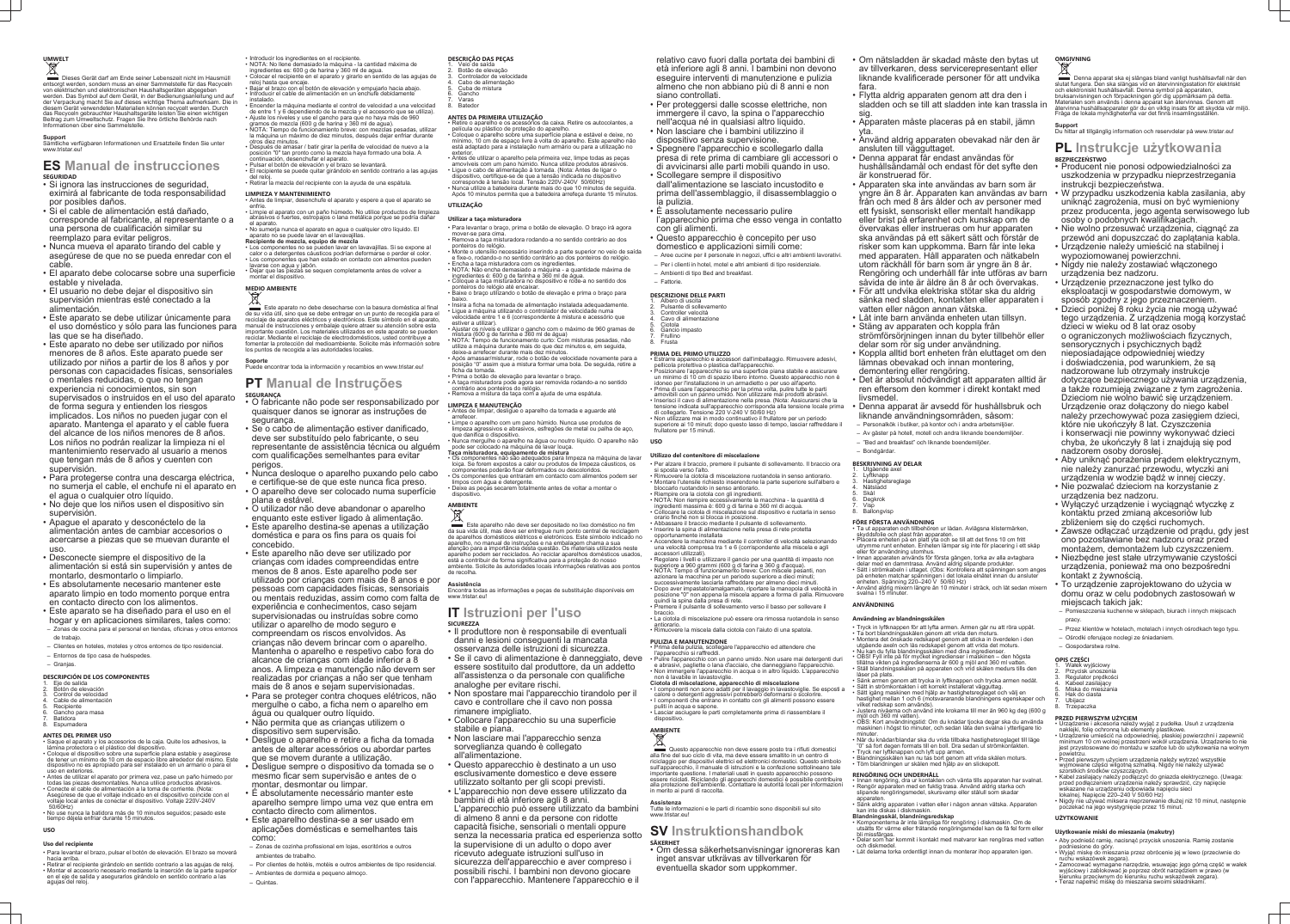# **UMWELT**

Dieses Gerät darf am Ende seiner Lebenszeit nicht im Hausmüll entsorgt werden, sondern muss an einer Sammelstelle für das Recyceln von elektrischen und elektronischen Haushaltsgeräten abgegeben werden. Das Symbol auf dem Gerät, in der Bedienungsanleitung und auf der Verpackung macht Sie auf dieses wichtige Thema aufmerksam. Die in diesem Gerät verwendeten Materialien können recycelt werden. Durch das Recyceln gebrauchter Haushaltsgeräte leisten Sie einen wichtigen Beitrag zum Umweltschutz. Fragen Sie Ihre örtliche Behörde nach Informationen über eine Samme

**Support** Sämtliche verfügbaren Informationen und Ersatzteile finden Sie unter www.tristar.eu

# **ES Manual de instrucciones SEGURIDAD**

- Si ignora las instrucciones de seguridad, eximirá al fabricante de toda responsabilidad por posibles daños.
- Si el cable de alimentación está dañado, corresponde al fabricante, al representante o a una persona de cualificación similar su reemplazo para evitar peligros.
- Nunca mueva el aparato tirando del cable y asegúrese de que no se pueda enredar con el cable.
- El aparato debe colocarse sobre una superficie estable y nivelada.
- El usuario no debe dejar el dispositivo sin supervisión mientras esté conectado a la alimentación.
- Este aparato se debe utilizar únicamente para el uso doméstico y sólo para las funciones para las que se ha diseñado.
- Este aparato no debe ser utilizado por niños menores de 8 años. Este aparato puede ser utilizado por niños a partir de los 8 años y por personas con capacidades físicas, sensoriales o mentales reducidas, o que no tengan experiencia ni conocimientos, sin son supervisados o instruidos en el uso del aparato de forma segura y entienden los riesgos implicados. Los niños no pueden jugar con el aparato. Mantenga el aparato y el cable fuera del alcance de los niños menores de 8 años. Los niños no podrán realizar la limpieza ni el mantenimiento reservado al usuario a menos que tengan más de 8 años y cuenten con supervisión.
- Para protegerse contra una descarga eléctrica, no sumerja el cable, el enchufe ni el aparato en el agua o cualquier otro líquido.
- No deje que los niños usen el dispositivo sin supervisión.
- Apague el aparato y desconéctelo de la alimentación antes de cambiar accesorios o acercarse a piezas que se muevan durante el uso.
- Desconecte siempre el dispositivo de la alimentación si está sin supervisión y antes de montarlo, desmontarlo o limpiarlo.
- Es absolutamente necesario mantener este aparato limpio en todo momento porque entra en contacto directo con los alimentos.
- Este aparato se ha diseñado para el uso en el hogar y en aplicaciones similares, tales como:
- Zonas de cocina para el personal en tiendas, oficinas y otros entornos de trabajo.
- Clientes en hoteles, moteles y otros entornos de tipo residencial. – Entornos de tipo casa de huéspedes.
- Granjas.

#### **DESCRIPCIÓN DE LOS COMPONENTES**

- 1. Eje de salida Botón de elevación
- Control de velocidad
- 4. Cable de alimentación Recipiente
- Gancho para masa
- **Batidora** 8. Espumadera

#### **ANTES DEL PRIMER USO**

- Saque el aparato y los accesorios de la caja. Quite los adhesivos, la lámina protectora o el plástico del dispositiv • Coloque el dispositivo sobre una superficie plana estable y asegúrese de tener un mínimo de 10 cm de espacio libre alrededor del mismo. Este dispositivo no es apropiado para ser instalado en un armario o para el
- uso en exteriores. • Antes de utilizar el aparato por primera vez, pase un paño húmedo por todas las piezas desmontables. Nunca utilice productos abrasivos. • Conecte el cable de alimentación a la toma de corriente. (Nota: Asegúrese de que el voltaje indicado en el dispositivo coincide con el
- voltaje local antes de conectar el dispositivo. Voltaje 220V-240V 50/60Hz) • No use nunca la batidora más de 10 minutos seguidos; pasado este
- tiempo déjela enfriar durante 15 minutos. **USO**

- **Uso del recipiente**
- Para levantar el brazo, pulsar el botón de elevación. El brazo se moverá hacia arriba.
- Retirar el recipiente girándolo en sentido contrario a las agujas de reloj. • Montar el accesorio necesario mediante la inserción de la parte superior en el eje de salida y asegurarlos girándolo en sentido contrario a las agujas del reloj.
- Introducir los ingredientes en el recipiente. • NOTA: No llene demasiado la máquina - la cantidad máxima de
- ingredientes es: 600 g de harina y 360 ml de agua.
- Colocar el recipiente en el aparato y girarlo en sentido de las agujas de reloj hasta que encaje. • Bajar el brazo con el botón de elevación y empujarlo hacia abajo.
- Introducir el cable de alimentación en un enchufe debidamente instalado.
- Encender la máquina mediante el control de velocidad a una velocidad de entre 1 y 6 dependiendo de la mezcla y el accesorio que se utiliza). • Ajuste los niveles y use el gancho para que no haya más de 960
- mos de mezcla (600 g de harina y 360 ml de agua). • NOTA: Tiempo de funcionamiento breve: con mezclas pesadas, utilizar
- la máquina un máximo de diez minutos, después dejar enfriar durante otros diez minutos.
- Después de amasar / batir girar la perilla de velocidad de nuevo a la posición "0" tan pronto como la mezcla haya formado una bola. A
- continuación, desenchufar el aparato. • Pulsar el botón de elevación y el brazo se levantará.
- El recipiente se puede quitar girándolo en sentido contrario a las agujas
- del reloj. • Retirar la mezcla del recipiente con la ayuda de una espátula.

- Para levantar o braço, prima o botão de elevação. O braço irá agora mover-se para cima. • Remova a taça misturadora rodando-a no sentido contrário ao dos
- ponteiros do relógio. • Monte o utensílio necessário inserindo a parte superior no veio de saída
- e fixe-o, rodando-o no sentido contrário ao dos ponteiros do relógio. • Encha a taça misturadora com os ingredientes.
- NOTA: Não encha demasiado a máquina a quantidade máxima de ingredientes é: 600 g de farinha e 360 ml de água.
- Coloque a taça misturadora no dispositivo e rode-a no sentido dos ponteiros do relógio até encaixar. • Baixe o braço utilizando o botão de elevação e prima o braço para
- baixo. • Insira a ficha na tomada de alimentação instalada adequadamente.
- Ligue a máquina utilizando o controlador de velocidade numa velocidade entre 1 e 6 (correspondente à mistura e acessório que estiver a utilizar).
- Ajustar os níveis e utilizar o gancho com o máximo de 960 gramas de mistura (600 g de farinha e 360 ml de água)
- NOTA: Tempo de funcionamento curto: Com misturas pesadas, não utilize a máquina durante mais do que dez minutos e, em seguida,
- deixe-a arrefecer durante mais dez minutos. • Após amassar/misturar, rode o botão de velocidade novamente para a
- posição "0" assim que a mistura formar uma bola. De seguida, retire a ficha da tomada.
- Prima o botão de elevação para levantar o braço. • A taça misturadora pode agora ser removida rodando-a no sentido

• Nunca mergulhe o aparelho na água ou noutro líquido. O aparelho não

#### **LIMPIEZA Y MANTENIMIENTO**

- Antes de limpiar, desenchufe el aparato y espere a que el aparato se enfríe.
- Limpie el aparato con un paño húmedo. No utilice productos de limpieza abrasivos o fuertes, estropajos o lana metálica porque se podría dañar el aparato.
- No sumerja nunca el aparato en agua o cualquier otro líquido. El aparato no se puede lavar en el lavavajillas. **Recipiente de mezcla, equipo de mezcla**
- Los componentes no se pueden lavar en lavavajillas. Si se expone al calor o a detergentes cáusticos podrían deformarse o perder el color. Los componentes que han estado en contacto con alimentos pueden lavarse con agua y jabón.
- Dejar que las piezas se sequen completamente antes de volver a

mponentes poderão ficar deformados ou descoloridos. • Os componentes que entraram em contacto com alimentos podem ser

#### montar el dispositivo. **MEDIO AMBIENTE**

snositivo **AMBIENTE**

Este aparato no debe desecharse con la basura doméstica al final de su vida útil, sino que se debe entregar en un punto de recogida para el reciclaje de aparatos eléctricos y electrónicos. Este símbolo en el aparato, manual de instrucciones y embalaje quiere atraer su atención sobre esta importante cuestión. Los materiales utilizados en este aparato se pueden reciclar. Mediante el reciclaje de electrodomésticos, usted contribuye a fomentar la protección del medioambiente. Solicite más información sobre los puntos de recogida a las autoridades locales.

#### **Soporte**

Puede encontrar toda la información y recambios en www.tristar.eu!

### **PT Manual de Instruções SEGURANÇA**

6. Gancio impasto 7. Frullino **Frusta** 

- O fabricante não pode ser responsabilizado por quaisquer danos se ignorar as instruções de segurança.
- Se o cabo de alimentação estiver danificado, deve ser substituído pelo fabricante, o seu representante de assistência técnica ou alguém com qualificações semelhantes para evitar perigos.
- Nunca desloque o aparelho puxando pelo cabo e certifique-se de que este nunca fica preso.
- O aparelho deve ser colocado numa superfície plana e estável.
- O utilizador não deve abandonar o aparelho enquanto este estiver ligado à alimentação.
- Este aparelho destina-se apenas a utilização doméstica e para os fins para os quais foi concebido.
- Este aparelho não deve ser utilizado por crianças com idades compreendidas entre menos de 8 anos. Este aparelho pode ser utilizado por crianças com mais de 8 anos e por pessoas com capacidades físicas, sensoriais ou mentais reduzidas, assim como com falta de experiência e conhecimentos, caso sejam supervisionadas ou instruídas sobre como utilizar o aparelho de modo seguro e compreendam os riscos envolvidos. As crianças não devem brincar com o aparelho. Mantenha o aparelho e respetivo cabo fora do alcance de crianças com idade inferior a 8 anos. A limpeza e manutenção não devem ser realizadas por crianças a não ser que tenham mais de 8 anos e sejam supervisionadas. • Para se proteger contra choques elétricos, não
- mergulhe o cabo, a ficha nem o aparelho em água ou qualquer outro líquido.
- Não permita que as crianças utilizem o dispositivo sem supervisão.
- Desligue o aparelho e retire a ficha da tomada antes de alterar acessórios ou abordar partes que se movem durante a utilização.
- Desligue sempre o dispositivo da tomada se o mesmo ficar sem supervisão e antes de o montar, desmontar ou limpar.
- É absolutamente necessário manter este aparelho sempre limpo uma vez que entra em contacto directo com alimentos.
- Este aparelho destina-se a ser usado em aplicações domésticas e semelhantes tais como:
- Zonas de cozinha profissional em lojas, escritórios e outros ambientes de trabalho.
- Por clientes de hotéis, motéis e outros ambientes de tipo residencial. – Ambientes de dormida e pequeno almoço.
- Quintas.

posizione "0" non appena la miscela appare a forma di palla. Rimuovere quindi la spina dalla presa di rete.  $\cdot$  Premere il pulsante di sollevamento verso il basso per sollevare il

#### **DESCRIÇÃO DAS PEÇAS**

- Veio de saída Botão de elevação
- Controlador de velocidade
- Cabo de alimentação
- Cuba de mistura **Gancho**
- **Varas Batedor**

• Se il cavo di alimentazione è danneggiato, deve · Pulire l'apparecchio con un panno umido. Non usare mai detergenti duri l'apparecchio si raffreddi. e abrasivi, pagliette o lana d'acciaio, che danneggiano l'apparecchio.

#### **ANTES DA PRIMEIRA UTILIZAÇÃO**

- Retire o aparelho e os acessórios da caixa. Retire os autocolantes, a película ou plástico de proteção do aparelho. • Coloque o aparelho sobre uma superfície plana e estável e deixe, no mínimo, 10 cm de espaço livre à volta do aparelho. Este aparelho não está adaptado para a instalação num armário ou para a utilização no exterior.
- Antes de utilizar o aparelho pela primeira vez, limpe todas as peças amovíveis com um pano húmido. Nunca utilize produtos abrasivos.
- Ligue o cabo de alimentação à tomada. (Nota: Antes de ligar o dispositivo, certifique-se de que a tensão indicada no dispositivo corresponde à tensão local. Tensão 220V-240V 50/60Hz)
- Nunca utilize a batedeira durante mais do que 10 minutos de seguida. Após 10 minutos permita que a batedeira arrefeça durante 15 minutos.

#### **UTILIZAÇÃO**

#### **Utilizar a taça misturadora**

contrário aos ponteiros do relógio. • Remova a mistura da taça com a ajuda de uma espátula.

**LIMPEZA E MANUTENÇÃO**

• Antes de limpar, desligue o aparelho da tomada e aguarde até

arrefecer.

• Limpe o aparelho com um pano húmido. Nunca use produtos de limpeza agressivos e abrasivos, esfregões de metal ou palha de aço,

que danifica o dispositivo.

pode ser colocado na máquina de lavar louça. **Taça misturadora, equipamento de mistura**

• Os componentes não são adequados para limpeza na máquina de lavar loiça. Se forem expostos a calor ou produtos de limpeza cáusticos, os

limpos com água e detergente.

• Deixe as peças secarem totalmente antes de voltar a montar o

Este aparelho não deve ser depositado no lixo doméstico no fim da sua vida útil, mas deve ser entregue num ponto central de reciclagem de aparelhos domésticos elétricos e eletrónicos. Este símbolo indicado no aparelho, no manual de instruções e na embalagem chama a sua atenção para a importância desta questão. Os materiais utilizados neste aparelho podem ser reciclados. Ao reciclar aparelhos domésticos usados, está a contribuir de forma significativa para a proteção do nosso ambiente. Solicite às autoridades locais informações relativas aos pontos

de recolha. **Assistência**

Encontra todas as informações e peças de substituição disponíveis em

www.tristar.eu!

**IT Istruzioni per l'uso**

**SICUREZZA**

• Il produttore non è responsabile di eventuali danni e lesioni conseguenti la mancata osservanza delle istruzioni di sicurezza.

essere sostituito dal produttore, da un addetto all'assistenza o da personale con qualifiche

analoghe per evitare rischi.

• Non spostare mai l'apparecchio tirandolo per il cavo e controllare che il cavo non possa

rimanere impigliato.

• Collocare l'apparecchio su una superficie

stabile e piana.

**OPIS CZĘŚCI** 1. Wałek wyjściowy 2. Przycisk unoszenia 3. Regulator prędkości 4. Kabeel zasilający Miska do mieszania 6. Hak do ciasta 7. Ubijacz **Trzepaczka** 

• Non lasciare mai l'apparecchio senza sorveglianza quando è collegato

all'alimentazione.

• Questo apparecchio è destinato a un uso esclusivamente domestico e deve essere utilizzato soltanto per gli scopi previsti. • L'apparecchio non deve essere utilizzato da

bambini di età inferiore agli 8 anni.

L'apparecchio può essere utilizzato da bambini di almeno 8 anni e da persone con ridotte capacità fisiche, sensoriali o mentali oppure senza la necessaria pratica ed esperienza sotto

la supervisione di un adulto o dopo aver ricevuto adeguate istruzioni sull'uso in

sicurezza dell'apparecchio e aver compreso i possibili rischi. I bambini non devono giocare con l'apparecchio. Mantenere l'apparecchio e il

relativo cavo fuori dalla portata dei bambini di età inferiore agli 8 anni. I bambini non devono eseguire interventi di manutenzione e pulizia almeno che non abbiano più di 8 anni e non siano controllati.

• Per proteggersi dalle scosse elettriche, non immergere il cavo, la spina o l'apparecchio nell'acqua né in qualsiasi altro liquido. • Non lasciare che i bambini utilizzino il dispositivo senza supervisione.

• Spegnere l'apparecchio e scollegarlo dalla presa di rete prima di cambiare gli accessori o di avvicinarsi alle parti mobili quando in uso. • Scollegare sempre il dispositivo

dall'alimentazione se lasciato incustodito e prima dell'assemblaggio, il disassemblaggio o la pulizia.

• È assolutamente necessario pulire l'apparecchio prima che esso venga in contatto

con gli alimenti. • Questo apparecchio è concepito per uso domestico e applicazioni simili come:

– Aree cucine per il personale in negozi, uffici e altri ambienti lavorativi. – Per i clienti in hotel, motel e altri ambienti di tipo residenziale. – Ambienti di tipo Bed and breakfast.

– Fattorie.

# **DESCRIZIONE DELLE PARTI**

1. Albero di uscita 2. Pulsante di sollevamento

Controller velocità Cavo di alimentazione

Ciotola

#### **PRIMA DEL PRIMO UTILIZZO**

• Estrarre apparecchio e accessori dall'imballaggio. Rimuovere adesivi, pellicola protettiva o plastica dall'apparecchio. • Posizionare l'apparecchio su una superficie piana stabile e assicurare un minimo di 10 cm di spazio libero intorno. Questo apparecchio non è

idoneo per l'installazione in un armadietto o per uso all'aperto. • Prima di usare l'apparecchio per la prima volta, pulire tutte le parti amovibili con un panno umido. Non utilizzare mai prodotti abrasivi. • Inserisci il cavo di alimentazione nella presa. (Nota: Assicurarsi che la tensione indicata sull'apparecchio corrisponda alla tensione locale prima

di collegarlo. Tensione 220 V-240 V 50/60 Hz) • Non utilizzare mai in modo continuativo il frullatore per un periodo superiore ai 10 minuti; dopo questo lasso di tempo, lasciar raffreddare il frullatore per 15 minuti.

**USO**

#### **Utilizzo del contenitore di miscelazione**

• Per alzare il braccio, premere il pulsante di sollevamento. Il braccio ora si sposta verso l'alto • Rimuovere la ciotola di miscelazione ruotandola in senso antiorario.

- Montare l'utensile richiesto inserendone la parte superiore sull'albero e bloccarlo ruotandolo in senso antiorario.
- Riempire ora la ciotola con gli ingredienti. • NOTA: Non riempire eccessivamente la macchina - la quantità di ingredienti massima è: 600 g di farina e 360 ml di acqua.
- Collocare la ciotola di miscelazione sul dispositivo e ruotarla in senso orario finché non si blocca in posizione. • Abbassare il braccio mediante il pulsante di sollevamento.
- Inserire la spina di alimentazione nella presa di rete protetta

opportunamente installata • Accendere la macchina mediante il controller di velocità selezionando una velocità compresa tra 1 e 6 (corrispondente alla miscela e agli

accessori utilizzati). • Regolare i livelli e utilizzare il gancio per una quantità di impasto non superiore a 960 grammi (600 g di farina e 360 g d'acqua).

• NOTA: Tempo di funzionamento breve: Con miscele pesanti, non azionare la macchina per un periodo superiore a dieci minuti; successivamente lasciarla raffreddare per almeno dieci minuti. • Dopo aver impastato/amalgamato, riportare la manopola di velocità in

braccio. • La ciotola di miscelazione può essere ora rimossa ruotandola in senso

antiorario.

• Rimuovere la miscela dalla ciotola con l'aiuto di una spatola.

**PULIZIA E MANUTENZIONE** • Prima della pulizia, scollegare l'apparecchio ed attendere che

• Non immergere l'apparecchio in acqua o in altro liquido. L'apparecchio non è lavabile in lavastoviglie.

**Ciotola di miscelazione, apparecchio di miscelazione**

• I componenti non sono adatti per il lavaggio in lavastoviglie. Se esposti a calore o detergenti aggressivi potrebbero deformarsi o scolorire. • I componenti che entrano in contatto con gli alimenti possono essere

puliti in acqua e sapone. • Lasciar asciugare le parti completamente prima di riassemblare il

dispositivo.

#### **AMBIENTE**

Questo apparecchio non deve essere posto tra i rifiuti domestici alla fine del suo ciclo di vita, ma deve essere smaltito in un centro di riciclaggio per dispositivi elettrici ed elettronici domestici. Questo simbolo sull'apparecchio, il manuale di istruzioni e la confezione sottolineano tale importante questione. I materiali usati in questo apparecchio possono essere riciclati. Riciclando gli apparecchi domestici è possibile contribuire alla protezione dell'ambiente. Contattare le autorità locali per informazioni in merito ai punti di raccolta.

**Assistenza**

Tutte le informazioni e le parti di ricambio sono disponibili sul sito www.tristar.eu!

#### **SV Instruktionshandbok SÄKERHET**

• Om dessa säkerhetsanvisningar ignoreras kan inget ansvar utkrävas av tillverkaren för eventuella skador som uppkommer.

- Om nätsladden är skadad måste den bytas ut av tillverkaren, dess servicerepresentant eller liknande kvalificerade personer för att undvika fara.
- Flytta aldrig apparaten genom att dra den i sladden och se till att sladden inte kan trassla in sig.
- Apparaten måste placeras på en stabil, jämn
- yta. • Använd aldrig apparaten obevakad när den är ansluten till vägguttaget.
- Denna apparat får endast användas för hushållsändamål och endast för det syfte den är konstruerad för.
- Apparaten ska inte användas av barn som är yngre än 8 år. Apparaten kan användas av barn från och med 8 års ålder och av personer med ett fysiskt, sensoriskt eller mentalt handikapp eller brist på erfarenhet och kunskap om de övervakas eller instrueras om hur apparaten ska användas på ett säkert sätt och förstår de risker som kan uppkomma. Barn får inte leka med apparaten. Håll apparaten och nätkabeln utom räckhåll för barn som är yngre än 8 år. Rengöring och underhåll får inte utföras av barn såvida de inte är äldre än 8 år och övervakas.
- För att undvika elektriska stötar ska du aldrig sänka ned sladden, kontakten eller apparaten i vatten eller någon annan vätska.
- Låt inte barn använda enheten utan tillsyn. • Stäng av apparaten och koppla från
- strömförsörjningen innan du byter tillbehör eller delar som rör sig under användning.
- Koppla alltid bort enheten från eluttaget om den lämnas obevakad och innan montering, demontering eller rengöring.
- Det är absolut nödvändigt att apparaten alltid är ren eftersom den kommer i direkt kontakt med livsmedel.
- Denna apparat är avsedd för hushållsbruk och liknande användningsområden, såsom:
- Personalkök i butiker, på kontor och i andra arbetsmiljöer.
- Av gäster på hotell, motell och andra liknande boendemiljöer. – "Bed and breakfast" och liknande boendemiljöer.
- Bondgårdar.

#### **BESKRIVNING AV DELAR**

- Utgående axel 2. Lyftknapp
- 3. Hastighetsreglage
- 4. Nätsladd Skål
- Degkrok Visp.
- Ballongvisp

### **FÖRE FÖRSTA ANVÄNDNING**

- Ta ut apparaten och tillbehören ur lådan. Avlägsna klistermärken, skyddsfolie och plast från apparaten. • Placera enheten på en platt yta och se till att det finns 10 cm fritt
- utrymme runt enheten. Enheten lämpar sig inte för placering i ett skåp eller för användning utomhus. • Innan apparaten används för första gången, torka av alla avtagbara
- delar med en dammtrasa. Använd aldrig slipande produkter. • Sätt i strömkabeln i uttaget. (Obs: Kontrollera att spänningen som anges
- på enheten matchar spänningen i det lokala elnätet innan du ansluter
- enheten. Spänning 220–240 V 50/60 Hz) • Använd aldrig mixern längre än 10 minuter i sträck, och låt sedan mixern svalna i 15 minuter.

#### **ANVÄNDNING**

#### **Användning av blandningsskålen**

- Tryck in lyftknappen för att lyfta armen. Armen går nu att röra uppåt. • Ta bort blandningsskålen genom att vrida den moturs.
- Montera det önskade redskapet genom att sticka in överdelen i den utgående axeln och lås redskapet genom att vrida det moturs.
- Nu kan du fylla blandningsskålen med dina ingredienser. • OBS! Fyll inte på för mycket ingredienser i maskinen – den högsta tillåtna vikten på ingredienserna är 600 g mjöl and 360 ml vatten. • Ställ blandningsskålen på apparaten och vrid skålen medurs tills den
- låser på plats. • Sänk armen genom att trycka in lyftknappen och trycka armen nedåt. • Sätt in strömkontakten i ett korrekt installerat vägguttag.
- Sätt igång maskinen med hjälp av hastighetsreglaget och välj en hastighet mellan 1 och 6 (motsvararande blandningens egenskaper och vilket redskap som används).
- Justera nivåerna och använd inte krokarna till mer än 960 kg deg (600 g mjöl och 360 ml vatten). • OBS: Kort användningstid: Om du knådar tjocka degar ska du använda
- maskinen i högst tio minuter, och sedan låta den svalna i ytterligare tio minuter. • När du knådar/blandar ska du vrida tillbaka hastighetsreglaget till läge
- "0" så fort degen formats till en boll. Dra sedan ut strömkontakten. • Tryck ner lyftknappen och lyft upp armen.
- Blandningsskålen kan nu tas bort genom att vrida skålen moturs. • Töm blandningen ur skålen med hjälp av en slickepott.

## **RENGÖRING OCH UNDERHÅLL**

- Innan rengöring, dra ur kontakten och vänta tills apparaten har svalnat. • Rengör apparaten med en fuktig trasa. Använd aldrig starka och slipande rengöringsmedel, skursvamp eller stålull som skadar
- apparaten. • Sänk aldrig apparaten i vatten eller i någon annan vätska. Apparaten
- kan inte diskas i diskmaskin. **Blandningsskål, blandningsredskap**
- Komponenterna är inte lämpliga för rengöring i diskmaskin. Om de utsätts för värme eller frätande rengöringsmedel kan de få fel form eller
- bli missfärgas. • Delar som har kommit i kontakt med matvaror kan rengöras med vatten
- och diskmedel. Låt delarna torka ordentligt innan du monterar ihop apparaten igen.

# **OMGIVNING**

Denna apparat ska ej slängas bland vanligt hushållsavfall när den slutat fungera. Den ska slängas vid en återvinningsstation för elektriskt och elektroniskt hushållsavfall. Denna symbol på apparaten, bruksanvisningen och förpackningen gör dig uppmärksam på detta. Materialen som används i denna apparat kan återvinnas. Genom att återvinna hushållsapparater gör du en viktig insats för att skydda vår miljö. Fråga de lokala myndigheterna var det finns insamlingsställen.

**Support** Du hittar all tillgänglig information och reservdelar på www.tristar.eu!

#### **PL Instrukcje użytkowania BEZPIECZEŃSTWO**

- Producent nie ponosi odpowiedzialności za uszkodzenia w przypadku nieprzestrzegania instrukcji bezpieczeństwa.
- W przypadku uszkodzenia kabla zasilania, aby uniknąć zagrożenia, musi on być wymieniony przez producenta, jego agenta serwisowego lub osoby o podobnych kwalifikacjach.
- Nie wolno przesuwać urządzenia, ciągnąć za
- przewód ani dopuszczać do zaplątania kabla. • Urządzenie należy umieścić na stabilnej i
- wypoziomowanej powierzchni.
- Nigdy nie należy zostawiać włączonego urządzenia bez nadzoru.
- Urządzenie przeznaczone jest tylko do eksploatacji w gospodarstwie domowym, w sposób zgodny z jego przeznaczeniem.
- Dzieci poniżej 8 roku życia nie mogą używać tego urządzenia. Z urządzenia mogą korzystać dzieci w wieku od 8 lat oraz osoby o ograniczonych możliwościach fizycznych, sensorycznych i psychicznych bądź nieposiadające odpowiedniej wiedzy i doświadczenia, pod warunkiem, że są nadzorowane lub otrzymały instrukcje dotyczące bezpiecznego używania urządzenia, a także rozumieją związane z tym zagrożenia. Dzieciom nie wolno bawić się urządzeniem. Urządzenie oraz dołączony do niego kabel należy przechowywać poza zasięgiem dzieci, które nie ukończyły 8 lat. Czyszczenia i konserwacji nie powinny wykonywać dzieci chyba, że ukończyły 8 lat i znajdują się pod nadzorem osoby dorosłej.
- Aby uniknąć porażenia prądem elektrycznym, nie należy zanurzać przewodu, wtyczki ani urządzenia w wodzie bądź w innej cieczy.

• Nie pozwalać dzieciom na korzystanie z urządzenia bez nadzoru.

• Wyłączyć urządzenie i wyciągnąć wtyczkę z kontaktu przed zmianą akcesoriów lub zbliżeniem się do części ruchomych.

• Zawsze odłączać urządzenie od prądu, gdy jest ono pozostawiane bez nadzoru oraz przed montażem, demontażem lub czyszczeniem. • Niezbędne jest stałe utrzymywanie czystości urządzenia, ponieważ ma ono bezpośredni

kontakt z żywnością.

• To urządzenie zaprojektowano do użycia w domu oraz w celu podobnych zastosowań w

miejscach takich jak:

– Pomieszczenia kuchenne w sklepach, biurach i innych miejscach

pracy.

– Przez klientów w hotelach, motelach i innych ośrodkach tego typu.

– Ośrodki oferujące noclegi ze śniadaniem.

– Gospodarstwa rolne.

**PRZED PIERWSZYM UŻYCIEM**

szorstkich środków czyszczących.

• Urządzenie i akcesoria należy wyjąć z pudełka. Usuń z urządzenia

naklejki, folię ochronną lub elementy plastikowe.

• Urządzenie umieścić na odpowiedniej, płaskiej powierzchni i zapewnić minimum 10 cm wolnej przestrzeni wokół urządzenia. Urządzenie to nie jest przystosowane do montażu w szafce lub do użytkowania na wolnym

powietrzu.

• Przed pierwszym użyciem urządzenia należy wytrzeć wszystkie wyjmowane części wilgotną szmatką. Nigdy nie należy używać

• Kabel zasilający należy podłączyć do gniazda elektrycznego. (Uwaga: przed podłączeniem urządzenia należy sprawdzić, czy napięcie

 $\bullet$  Nigdy nie używać miksera nieprzerwanie dłużej niż 10 minut, nastepnie

wskazane na urządzeniu odpowiada napięciu sieci

lokalnej. Napięcie 220–240 V 50/60 Hz)

poczekać na jego wystygnięcie przez 15 minut.

**UŻYTKOWANIE**

**Użytkowanie miski do mieszania (makutry)**

• Aby podnieść ramię, nacisnąć przycisk unoszenia. Ramię zostanie

podniesione do góry.

• Wyjąć miskę do mieszania przez obrócenie jej w lewo (przeciwnie do

ruchu wskazówek zegara).

• Zamocować wymagane narzędzie, wsuwając jego górną część w wałek wyjściowy i zablokować je poprzez obrót narzędziem w prawo (w kierunku przeciwnym do kierunku ruchu wskazówek zegara). • Teraz napełnić miskę do mieszania swoimi składnikami.